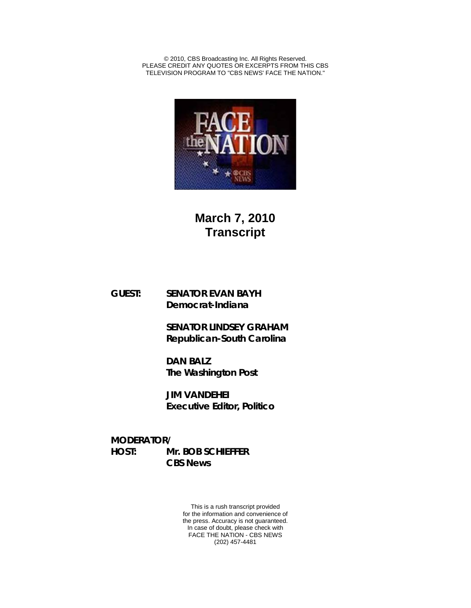© 2010, CBS Broadcasting Inc. All Rights Reserved. PLEASE CREDIT ANY QUOTES OR EXCERPTS FROM THIS CBS TELEVISION PROGRAM TO "CBS NEWS' FACE THE NATION."



**March 7, 2010 Transcript**

**GUEST: SENATOR EVAN BAYH Democrat-Indiana**

> **SENATOR LINDSEY GRAHAM Republican-South Carolina**

**DAN BALZ The Washington Post**

**JIM VANDEHEI Executive Editor, Politico**

**MODERATOR/ HOST: Mr. BOB SCHIEFFER CBS News**

> This is a rush transcript provided for the information and convenience of the press. Accuracy is not guaranteed. In case of doubt, please check with FACE THE NATION - CBS NEWS (202) 457-4481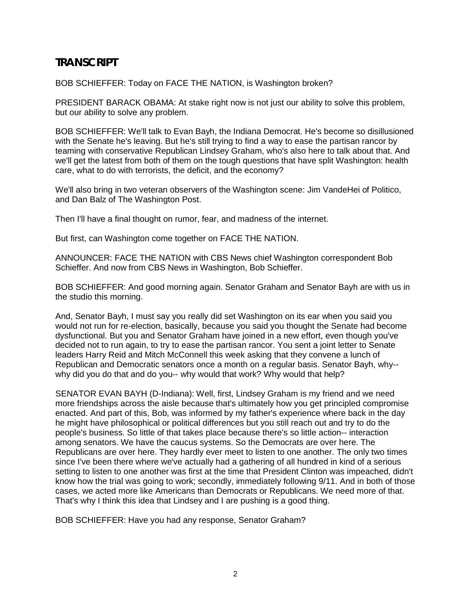# **TRANSCRIPT**

BOB SCHIEFFER: Today on FACE THE NATION, is Washington broken?

PRESIDENT BARACK OBAMA: At stake right now is not just our ability to solve this problem, but our ability to solve any problem.

BOB SCHIEFFER: We'll talk to Evan Bayh, the Indiana Democrat. He's become so disillusioned with the Senate he's leaving. But he's still trying to find a way to ease the partisan rancor by teaming with conservative Republican Lindsey Graham, who's also here to talk about that. And we'll get the latest from both of them on the tough questions that have split Washington: health care, what to do with terrorists, the deficit, and the economy?

We'll also bring in two veteran observers of the Washington scene: Jim VandeHei of Politico, and Dan Balz of The Washington Post.

Then I'll have a final thought on rumor, fear, and madness of the internet.

But first, can Washington come together on FACE THE NATION.

ANNOUNCER: FACE THE NATION with CBS News chief Washington correspondent Bob Schieffer. And now from CBS News in Washington, Bob Schieffer.

BOB SCHIEFFER: And good morning again. Senator Graham and Senator Bayh are with us in the studio this morning.

And, Senator Bayh, I must say you really did set Washington on its ear when you said you would not run for re-election, basically, because you said you thought the Senate had become dysfunctional. But you and Senator Graham have joined in a new effort, even though you've decided not to run again, to try to ease the partisan rancor. You sent a joint letter to Senate leaders Harry Reid and Mitch McConnell this week asking that they convene a lunch of Republican and Democratic senators once a month on a regular basis. Senator Bayh, why- why did you do that and do you-- why would that work? Why would that help?

SENATOR EVAN BAYH (D-Indiana): Well, first, Lindsey Graham is my friend and we need more friendships across the aisle because that's ultimately how you get principled compromise enacted. And part of this, Bob, was informed by my father's experience where back in the day he might have philosophical or political differences but you still reach out and try to do the people's business. So little of that takes place because there's so little action-- interaction among senators. We have the caucus systems. So the Democrats are over here. The Republicans are over here. They hardly ever meet to listen to one another. The only two times since I've been there where we've actually had a gathering of all hundred in kind of a serious setting to listen to one another was first at the time that President Clinton was impeached, didn't know how the trial was going to work; secondly, immediately following 9/11. And in both of those cases, we acted more like Americans than Democrats or Republicans. We need more of that. That's why I think this idea that Lindsey and I are pushing is a good thing.

BOB SCHIEFFER: Have you had any response, Senator Graham?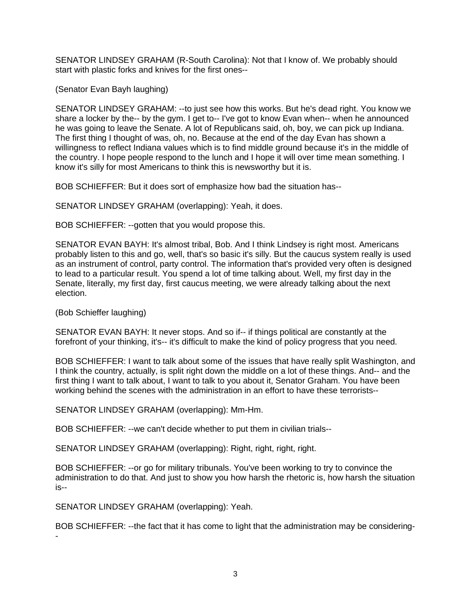SENATOR LINDSEY GRAHAM (R-South Carolina): Not that I know of. We probably should start with plastic forks and knives for the first ones--

(Senator Evan Bayh laughing)

SENATOR LINDSEY GRAHAM: --to just see how this works. But he's dead right. You know we share a locker by the-- by the gym. I get to-- I've got to know Evan when-- when he announced he was going to leave the Senate. A lot of Republicans said, oh, boy, we can pick up Indiana. The first thing I thought of was, oh, no. Because at the end of the day Evan has shown a willingness to reflect Indiana values which is to find middle ground because it's in the middle of the country. I hope people respond to the lunch and I hope it will over time mean something. I know it's silly for most Americans to think this is newsworthy but it is.

BOB SCHIEFFER: But it does sort of emphasize how bad the situation has--

SENATOR LINDSEY GRAHAM (overlapping): Yeah, it does.

BOB SCHIEFFER: --gotten that you would propose this.

SENATOR EVAN BAYH: It's almost tribal, Bob. And I think Lindsey is right most. Americans probably listen to this and go, well, that's so basic it's silly. But the caucus system really is used as an instrument of control, party control. The information that's provided very often is designed to lead to a particular result. You spend a lot of time talking about. Well, my first day in the Senate, literally, my first day, first caucus meeting, we were already talking about the next election.

(Bob Schieffer laughing)

-

SENATOR EVAN BAYH: It never stops. And so if-- if things political are constantly at the forefront of your thinking, it's-- it's difficult to make the kind of policy progress that you need.

BOB SCHIEFFER: I want to talk about some of the issues that have really split Washington, and I think the country, actually, is split right down the middle on a lot of these things. And-- and the first thing I want to talk about, I want to talk to you about it, Senator Graham. You have been working behind the scenes with the administration in an effort to have these terrorists--

SENATOR LINDSEY GRAHAM (overlapping): Mm-Hm.

BOB SCHIEFFER: --we can't decide whether to put them in civilian trials--

SENATOR LINDSEY GRAHAM (overlapping): Right, right, right, right.

BOB SCHIEFFER: --or go for military tribunals. You've been working to try to convince the administration to do that. And just to show you how harsh the rhetoric is, how harsh the situation is--

SENATOR LINDSEY GRAHAM (overlapping): Yeah.

BOB SCHIEFFER: --the fact that it has come to light that the administration may be considering-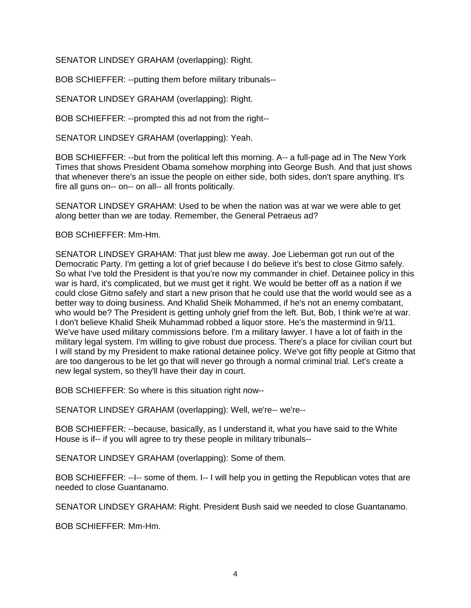SENATOR LINDSEY GRAHAM (overlapping): Right.

BOB SCHIEFFER: --putting them before military tribunals--

SENATOR LINDSEY GRAHAM (overlapping): Right.

BOB SCHIEFFER: --prompted this ad not from the right--

SENATOR LINDSEY GRAHAM (overlapping): Yeah.

BOB SCHIEFFER: --but from the political left this morning. A-- a full-page ad in The New York Times that shows President Obama somehow morphing into George Bush. And that just shows that whenever there's an issue the people on either side, both sides, don't spare anything. It's fire all guns on-- on-- on all-- all fronts politically.

SENATOR LINDSEY GRAHAM: Used to be when the nation was at war we were able to get along better than we are today. Remember, the General Petraeus ad?

BOB SCHIEFFER: Mm-Hm.

SENATOR LINDSEY GRAHAM: That just blew me away. Joe Lieberman got run out of the Democratic Party. I'm getting a lot of grief because I do believe it's best to close Gitmo safely. So what I've told the President is that you're now my commander in chief. Detainee policy in this war is hard, it's complicated, but we must get it right. We would be better off as a nation if we could close Gitmo safely and start a new prison that he could use that the world would see as a better way to doing business. And Khalid Sheik Mohammed, if he's not an enemy combatant, who would be? The President is getting unholy grief from the left. But, Bob, I think we're at war. I don't believe Khalid Sheik Muhammad robbed a liquor store. He's the mastermind in 9/11. We've have used military commissions before. I'm a military lawyer. I have a lot of faith in the military legal system. I'm willing to give robust due process. There's a place for civilian court but I will stand by my President to make rational detainee policy. We've got fifty people at Gitmo that are too dangerous to be let go that will never go through a normal criminal trial. Let's create a new legal system, so they'll have their day in court.

BOB SCHIEFFER: So where is this situation right now--

SENATOR LINDSEY GRAHAM (overlapping): Well, we're-- we're--

BOB SCHIEFFER: --because, basically, as I understand it, what you have said to the White House is if-- if you will agree to try these people in military tribunals--

SENATOR LINDSEY GRAHAM (overlapping): Some of them.

BOB SCHIEFFER: --I-- some of them. I-- I will help you in getting the Republican votes that are needed to close Guantanamo.

SENATOR LINDSEY GRAHAM: Right. President Bush said we needed to close Guantanamo.

BOB SCHIEFFER: Mm-Hm.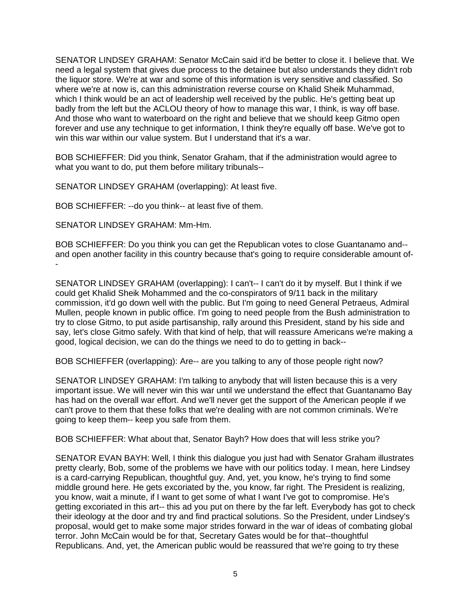SENATOR LINDSEY GRAHAM: Senator McCain said it'd be better to close it. I believe that. We need a legal system that gives due process to the detainee but also understands they didn't rob the liquor store. We're at war and some of this information is very sensitive and classified. So where we're at now is, can this administration reverse course on Khalid Sheik Muhammad, which I think would be an act of leadership well received by the public. He's getting beat up badly from the left but the ACLOU theory of how to manage this war, I think, is way off base. And those who want to waterboard on the right and believe that we should keep Gitmo open forever and use any technique to get information, I think they're equally off base. We've got to win this war within our value system. But I understand that it's a war.

BOB SCHIEFFER: Did you think, Senator Graham, that if the administration would agree to what you want to do, put them before military tribunals--

SENATOR LINDSEY GRAHAM (overlapping): At least five.

BOB SCHIEFFER: --do you think-- at least five of them.

SENATOR LINDSEY GRAHAM: Mm-Hm.

BOB SCHIEFFER: Do you think you can get the Republican votes to close Guantanamo and- and open another facility in this country because that's going to require considerable amount of- -

SENATOR LINDSEY GRAHAM (overlapping): I can't-- I can't do it by myself. But I think if we could get Khalid Sheik Mohammed and the co-conspirators of 9/11 back in the military commission, it'd go down well with the public. But I'm going to need General Petraeus, Admiral Mullen, people known in public office. I'm going to need people from the Bush administration to try to close Gitmo, to put aside partisanship, rally around this President, stand by his side and say, let's close Gitmo safely. With that kind of help, that will reassure Americans we're making a good, logical decision, we can do the things we need to do to getting in back--

BOB SCHIEFFER (overlapping): Are-- are you talking to any of those people right now?

SENATOR LINDSEY GRAHAM: I'm talking to anybody that will listen because this is a very important issue. We will never win this war until we understand the effect that Guantanamo Bay has had on the overall war effort. And we'll never get the support of the American people if we can't prove to them that these folks that we're dealing with are not common criminals. We're going to keep them-- keep you safe from them.

BOB SCHIEFFER: What about that, Senator Bayh? How does that will less strike you?

SENATOR EVAN BAYH: Well, I think this dialogue you just had with Senator Graham illustrates pretty clearly, Bob, some of the problems we have with our politics today. I mean, here Lindsey is a card-carrying Republican, thoughtful guy. And, yet, you know, he's trying to find some middle ground here. He gets excoriated by the, you know, far right. The President is realizing, you know, wait a minute, if I want to get some of what I want I've got to compromise. He's getting excoriated in this art-- this ad you put on there by the far left. Everybody has got to check their ideology at the door and try and find practical solutions. So the President, under Lindsey's proposal, would get to make some major strides forward in the war of ideas of combating global terror. John McCain would be for that, Secretary Gates would be for that--thoughtful Republicans. And, yet, the American public would be reassured that we're going to try these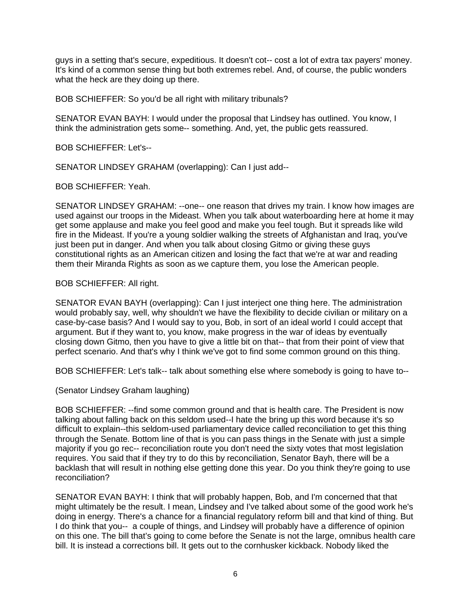guys in a setting that's secure, expeditious. It doesn't cot-- cost a lot of extra tax payers' money. It's kind of a common sense thing but both extremes rebel. And, of course, the public wonders what the heck are they doing up there.

BOB SCHIEFFER: So you'd be all right with military tribunals?

SENATOR EVAN BAYH: I would under the proposal that Lindsey has outlined. You know, I think the administration gets some-- something. And, yet, the public gets reassured.

BOB SCHIEFFER: Let's--

SENATOR LINDSEY GRAHAM (overlapping): Can I just add--

BOB SCHIEFFER: Yeah.

SENATOR LINDSEY GRAHAM: --one-- one reason that drives my train. I know how images are used against our troops in the Mideast. When you talk about waterboarding here at home it may get some applause and make you feel good and make you feel tough. But it spreads like wild fire in the Mideast. If you're a young soldier walking the streets of Afghanistan and Iraq, you've just been put in danger. And when you talk about closing Gitmo or giving these guys constitutional rights as an American citizen and losing the fact that we're at war and reading them their Miranda Rights as soon as we capture them, you lose the American people.

### BOB SCHIEFFER: All right.

SENATOR EVAN BAYH (overlapping): Can I just interject one thing here. The administration would probably say, well, why shouldn't we have the flexibility to decide civilian or military on a case-by-case basis? And I would say to you, Bob, in sort of an ideal world I could accept that argument. But if they want to, you know, make progress in the war of ideas by eventually closing down Gitmo, then you have to give a little bit on that-- that from their point of view that perfect scenario. And that's why I think we've got to find some common ground on this thing.

BOB SCHIEFFER: Let's talk-- talk about something else where somebody is going to have to--

(Senator Lindsey Graham laughing)

BOB SCHIEFFER: --find some common ground and that is health care. The President is now talking about falling back on this seldom used--I hate the bring up this word because it's so difficult to explain--this seldom-used parliamentary device called reconciliation to get this thing through the Senate. Bottom line of that is you can pass things in the Senate with just a simple majority if you go rec-- reconciliation route you don't need the sixty votes that most legislation requires. You said that if they try to do this by reconciliation, Senator Bayh, there will be a backlash that will result in nothing else getting done this year. Do you think they're going to use reconciliation?

SENATOR EVAN BAYH: I think that will probably happen, Bob, and I'm concerned that that might ultimately be the result. I mean, Lindsey and I've talked about some of the good work he's doing in energy. There's a chance for a financial regulatory reform bill and that kind of thing. But I do think that you-- a couple of things, and Lindsey will probably have a difference of opinion on this one. The bill that's going to come before the Senate is not the large, omnibus health care bill. It is instead a corrections bill. It gets out to the cornhusker kickback. Nobody liked the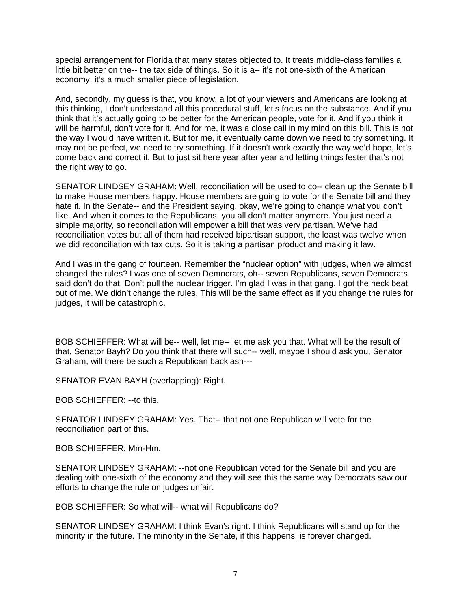special arrangement for Florida that many states objected to. It treats middle-class families a little bit better on the-- the tax side of things. So it is a-- it's not one-sixth of the American economy, it's a much smaller piece of legislation.

And, secondly, my guess is that, you know, a lot of your viewers and Americans are looking at this thinking, I don't understand all this procedural stuff, let's focus on the substance. And if you think that it's actually going to be better for the American people, vote for it. And if you think it will be harmful, don't vote for it. And for me, it was a close call in my mind on this bill. This is not the way I would have written it. But for me, it eventually came down we need to try something. It may not be perfect, we need to try something. If it doesn't work exactly the way we'd hope, let's come back and correct it. But to just sit here year after year and letting things fester that's not the right way to go.

SENATOR LINDSEY GRAHAM: Well, reconciliation will be used to co-- clean up the Senate bill to make House members happy. House members are going to vote for the Senate bill and they hate it. In the Senate-- and the President saying, okay, we're going to change what you don't like. And when it comes to the Republicans, you all don't matter anymore. You just need a simple majority, so reconciliation will empower a bill that was very partisan. We've had reconciliation votes but all of them had received bipartisan support, the least was twelve when we did reconciliation with tax cuts. So it is taking a partisan product and making it law.

And I was in the gang of fourteen. Remember the "nuclear option" with judges, when we almost changed the rules? I was one of seven Democrats, oh-- seven Republicans, seven Democrats said don't do that. Don't pull the nuclear trigger. I'm glad I was in that gang. I got the heck beat out of me. We didn't change the rules. This will be the same effect as if you change the rules for judges, it will be catastrophic.

BOB SCHIEFFER: What will be-- well, let me-- let me ask you that. What will be the result of that, Senator Bayh? Do you think that there will such-- well, maybe I should ask you, Senator Graham, will there be such a Republican backlash---

SENATOR EVAN BAYH (overlapping): Right.

BOB SCHIEFFER: --to this.

SENATOR LINDSEY GRAHAM: Yes. That-- that not one Republican will vote for the reconciliation part of this.

BOB SCHIEFFER: Mm-Hm.

SENATOR LINDSEY GRAHAM: --not one Republican voted for the Senate bill and you are dealing with one-sixth of the economy and they will see this the same way Democrats saw our efforts to change the rule on judges unfair.

BOB SCHIEFFER: So what will-- what will Republicans do?

SENATOR LINDSEY GRAHAM: I think Evan's right. I think Republicans will stand up for the minority in the future. The minority in the Senate, if this happens, is forever changed.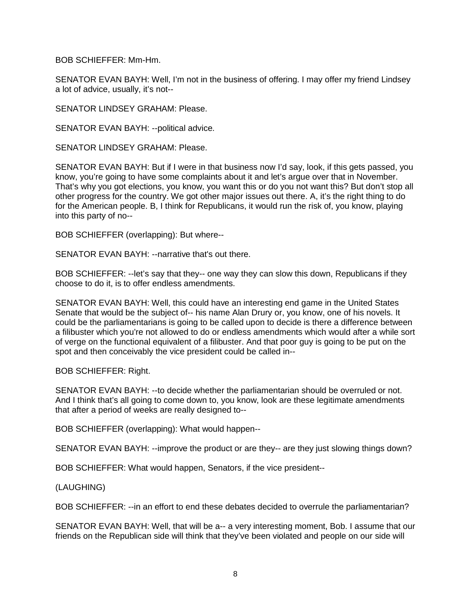BOB SCHIEFFER: Mm-Hm.

SENATOR EVAN BAYH: Well, I'm not in the business of offering. I may offer my friend Lindsey a lot of advice, usually, it's not--

SENATOR LINDSEY GRAHAM: Please.

SENATOR EVAN BAYH: --political advice.

SENATOR LINDSEY GRAHAM: Please.

SENATOR EVAN BAYH: But if I were in that business now I'd say, look, if this gets passed, you know, you're going to have some complaints about it and let's argue over that in November. That's why you got elections, you know, you want this or do you not want this? But don't stop all other progress for the country. We got other major issues out there. A, it's the right thing to do for the American people. B, I think for Republicans, it would run the risk of, you know, playing into this party of no--

BOB SCHIEFFER (overlapping): But where--

SENATOR EVAN BAYH: --narrative that's out there.

BOB SCHIEFFER: --let's say that they-- one way they can slow this down, Republicans if they choose to do it, is to offer endless amendments.

SENATOR EVAN BAYH: Well, this could have an interesting end game in the United States Senate that would be the subject of-- his name Alan Drury or, you know, one of his novels. It could be the parliamentarians is going to be called upon to decide is there a difference between a filibuster which you're not allowed to do or endless amendments which would after a while sort of verge on the functional equivalent of a filibuster. And that poor guy is going to be put on the spot and then conceivably the vice president could be called in--

BOB SCHIEFFER: Right.

SENATOR EVAN BAYH: --to decide whether the parliamentarian should be overruled or not. And I think that's all going to come down to, you know, look are these legitimate amendments that after a period of weeks are really designed to--

BOB SCHIEFFER (overlapping): What would happen--

SENATOR EVAN BAYH: --improve the product or are they-- are they just slowing things down?

BOB SCHIEFFER: What would happen, Senators, if the vice president--

(LAUGHING)

BOB SCHIEFFER: --in an effort to end these debates decided to overrule the parliamentarian?

SENATOR EVAN BAYH: Well, that will be a-- a very interesting moment, Bob. I assume that our friends on the Republican side will think that they've been violated and people on our side will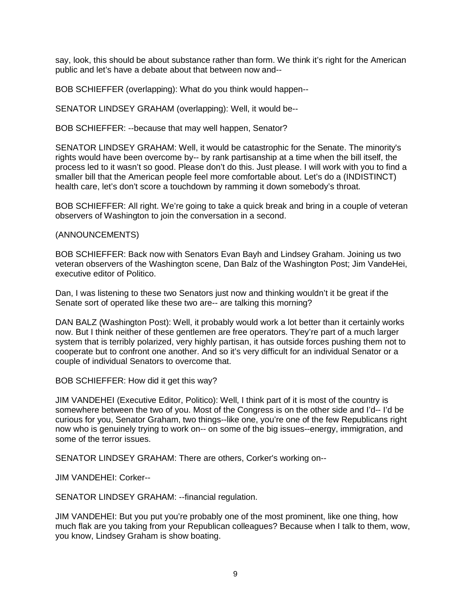say, look, this should be about substance rather than form. We think it's right for the American public and let's have a debate about that between now and--

BOB SCHIEFFER (overlapping): What do you think would happen--

SENATOR LINDSEY GRAHAM (overlapping): Well, it would be--

BOB SCHIEFFER: --because that may well happen, Senator?

SENATOR LINDSEY GRAHAM: Well, it would be catastrophic for the Senate. The minority's rights would have been overcome by-- by rank partisanship at a time when the bill itself, the process led to it wasn't so good. Please don't do this. Just please. I will work with you to find a smaller bill that the American people feel more comfortable about. Let's do a (INDISTINCT) health care, let's don't score a touchdown by ramming it down somebody's throat.

BOB SCHIEFFER: All right. We're going to take a quick break and bring in a couple of veteran observers of Washington to join the conversation in a second.

#### (ANNOUNCEMENTS)

BOB SCHIEFFER: Back now with Senators Evan Bayh and Lindsey Graham. Joining us two veteran observers of the Washington scene, Dan Balz of the Washington Post; Jim VandeHei, executive editor of Politico.

Dan, I was listening to these two Senators just now and thinking wouldn't it be great if the Senate sort of operated like these two are-- are talking this morning?

DAN BALZ (Washington Post): Well, it probably would work a lot better than it certainly works now. But I think neither of these gentlemen are free operators. They're part of a much larger system that is terribly polarized, very highly partisan, it has outside forces pushing them not to cooperate but to confront one another. And so it's very difficult for an individual Senator or a couple of individual Senators to overcome that.

BOB SCHIEFFER: How did it get this way?

JIM VANDEHEI (Executive Editor, Politico): Well, I think part of it is most of the country is somewhere between the two of you. Most of the Congress is on the other side and I'd-- I'd be curious for you, Senator Graham, two things--like one, you're one of the few Republicans right now who is genuinely trying to work on-- on some of the big issues--energy, immigration, and some of the terror issues.

SENATOR LINDSEY GRAHAM: There are others, Corker's working on--

JIM VANDEHEI: Corker--

SENATOR LINDSEY GRAHAM: --financial regulation.

JIM VANDEHEI: But you put you're probably one of the most prominent, like one thing, how much flak are you taking from your Republican colleagues? Because when I talk to them, wow, you know, Lindsey Graham is show boating.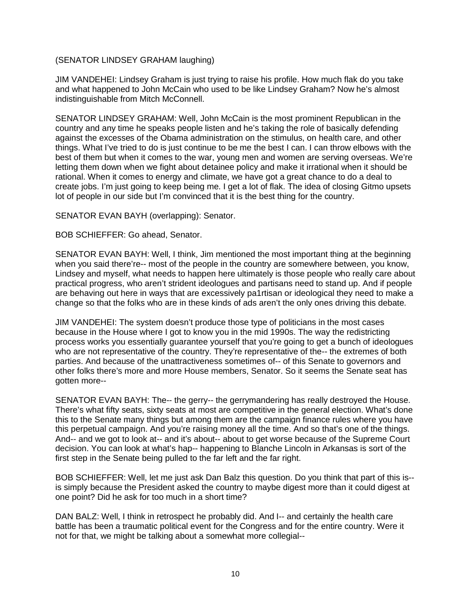## (SENATOR LINDSEY GRAHAM laughing)

JIM VANDEHEI: Lindsey Graham is just trying to raise his profile. How much flak do you take and what happened to John McCain who used to be like Lindsey Graham? Now he's almost indistinguishable from Mitch McConnell.

SENATOR LINDSEY GRAHAM: Well, John McCain is the most prominent Republican in the country and any time he speaks people listen and he's taking the role of basically defending against the excesses of the Obama administration on the stimulus, on health care, and other things. What I've tried to do is just continue to be me the best I can. I can throw elbows with the best of them but when it comes to the war, young men and women are serving overseas. We're letting them down when we fight about detainee policy and make it irrational when it should be rational. When it comes to energy and climate, we have got a great chance to do a deal to create jobs. I'm just going to keep being me. I get a lot of flak. The idea of closing Gitmo upsets lot of people in our side but I'm convinced that it is the best thing for the country.

SENATOR EVAN BAYH (overlapping): Senator.

BOB SCHIEFFER: Go ahead, Senator.

SENATOR EVAN BAYH: Well, I think, Jim mentioned the most important thing at the beginning when you said there're-- most of the people in the country are somewhere between, you know, Lindsey and myself, what needs to happen here ultimately is those people who really care about practical progress, who aren't strident ideologues and partisans need to stand up. And if people are behaving out here in ways that are excessively pa1rtisan or ideological they need to make a change so that the folks who are in these kinds of ads aren't the only ones driving this debate.

JIM VANDEHEI: The system doesn't produce those type of politicians in the most cases because in the House where I got to know you in the mid 1990s. The way the redistricting process works you essentially guarantee yourself that you're going to get a bunch of ideologues who are not representative of the country. They're representative of the-- the extremes of both parties. And because of the unattractiveness sometimes of-- of this Senate to governors and other folks there's more and more House members, Senator. So it seems the Senate seat has gotten more--

SENATOR EVAN BAYH: The-- the gerry-- the gerrymandering has really destroyed the House. There's what fifty seats, sixty seats at most are competitive in the general election. What's done this to the Senate many things but among them are the campaign finance rules where you have this perpetual campaign. And you're raising money all the time. And so that's one of the things. And-- and we got to look at-- and it's about-- about to get worse because of the Supreme Court decision. You can look at what's hap-- happening to Blanche Lincoln in Arkansas is sort of the first step in the Senate being pulled to the far left and the far right.

BOB SCHIEFFER: Well, let me just ask Dan Balz this question. Do you think that part of this is- is simply because the President asked the country to maybe digest more than it could digest at one point? Did he ask for too much in a short time?

DAN BALZ: Well, I think in retrospect he probably did. And I-- and certainly the health care battle has been a traumatic political event for the Congress and for the entire country. Were it not for that, we might be talking about a somewhat more collegial--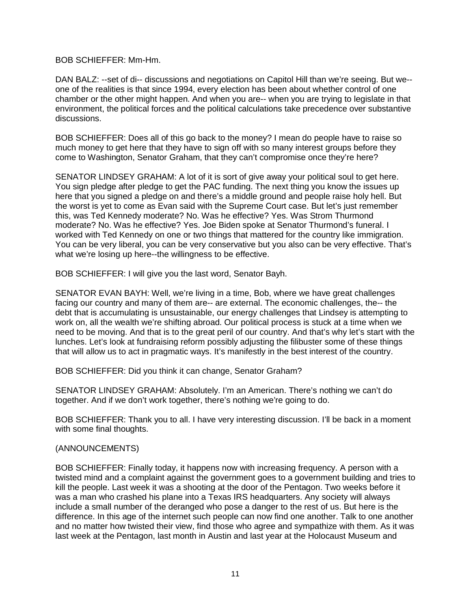BOB SCHIEFFER: Mm-Hm.

DAN BALZ: --set of di-- discussions and negotiations on Capitol Hill than we're seeing. But we- one of the realities is that since 1994, every election has been about whether control of one chamber or the other might happen. And when you are-- when you are trying to legislate in that environment, the political forces and the political calculations take precedence over substantive discussions.

BOB SCHIEFFER: Does all of this go back to the money? I mean do people have to raise so much money to get here that they have to sign off with so many interest groups before they come to Washington, Senator Graham, that they can't compromise once they're here?

SENATOR LINDSEY GRAHAM: A lot of it is sort of give away your political soul to get here. You sign pledge after pledge to get the PAC funding. The next thing you know the issues up here that you signed a pledge on and there's a middle ground and people raise holy hell. But the worst is yet to come as Evan said with the Supreme Court case. But let's just remember this, was Ted Kennedy moderate? No. Was he effective? Yes. Was Strom Thurmond moderate? No. Was he effective? Yes. Joe Biden spoke at Senator Thurmond's funeral. I worked with Ted Kennedy on one or two things that mattered for the country like immigration. You can be very liberal, you can be very conservative but you also can be very effective. That's what we're losing up here--the willingness to be effective.

BOB SCHIEFFER: I will give you the last word, Senator Bayh.

SENATOR EVAN BAYH: Well, we're living in a time, Bob, where we have great challenges facing our country and many of them are-- are external. The economic challenges, the-- the debt that is accumulating is unsustainable, our energy challenges that Lindsey is attempting to work on, all the wealth we're shifting abroad. Our political process is stuck at a time when we need to be moving. And that is to the great peril of our country. And that's why let's start with the lunches. Let's look at fundraising reform possibly adjusting the filibuster some of these things that will allow us to act in pragmatic ways. It's manifestly in the best interest of the country.

BOB SCHIEFFER: Did you think it can change, Senator Graham?

SENATOR LINDSEY GRAHAM: Absolutely. I'm an American. There's nothing we can't do together. And if we don't work together, there's nothing we're going to do.

BOB SCHIEFFER: Thank you to all. I have very interesting discussion. I'll be back in a moment with some final thoughts.

## (ANNOUNCEMENTS)

BOB SCHIEFFER: Finally today, it happens now with increasing frequency. A person with a twisted mind and a complaint against the government goes to a government building and tries to kill the people. Last week it was a shooting at the door of the Pentagon. Two weeks before it was a man who crashed his plane into a Texas IRS headquarters. Any society will always include a small number of the deranged who pose a danger to the rest of us. But here is the difference. In this age of the internet such people can now find one another. Talk to one another and no matter how twisted their view, find those who agree and sympathize with them. As it was last week at the Pentagon, last month in Austin and last year at the Holocaust Museum and